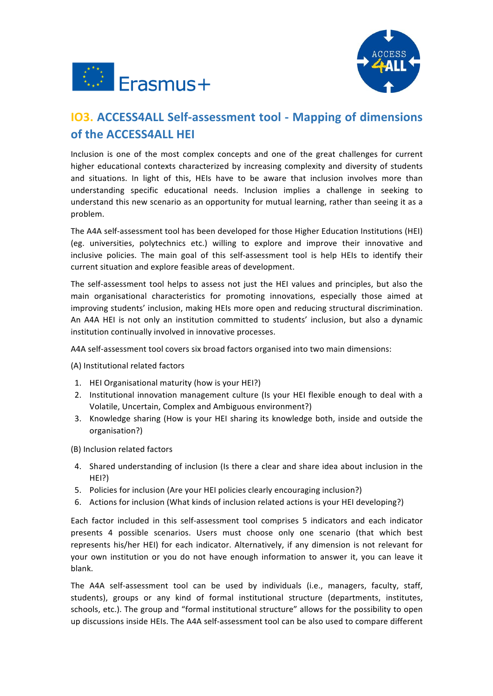



# **IO3. ACCESS4ALL Self-assessment tool - Mapping of dimensions of the ACCESS4ALL HEI**

Inclusion is one of the most complex concepts and one of the great challenges for current higher educational contexts characterized by increasing complexity and diversity of students and situations. In light of this, HEIs have to be aware that inclusion involves more than understanding specific educational needs. Inclusion implies a challenge in seeking to understand this new scenario as an opportunity for mutual learning, rather than seeing it as a problem.

The A4A self-assessment tool has been developed for those Higher Education Institutions (HEI) (eg. universities, polytechnics etc.) willing to explore and improve their innovative and inclusive policies. The main goal of this self-assessment tool is help HEIs to identify their current situation and explore feasible areas of development.

The self-assessment tool helps to assess not just the HEI values and principles, but also the main organisational characteristics for promoting innovations, especially those aimed at improving students' inclusion, making HEIs more open and reducing structural discrimination. An A4A HEI is not only an institution committed to students' inclusion, but also a dynamic institution continually involved in innovative processes.

A4A self-assessment tool covers six broad factors organised into two main dimensions:

(A) Institutional related factors

- 1. HEI Organisational maturity (how is your HEI?)
- 2. Institutional innovation management culture (Is your HEI flexible enough to deal with a Volatile, Uncertain, Complex and Ambiguous environment?)
- 3. Knowledge sharing (How is your HEI sharing its knowledge both, inside and outside the organisation?)

(B) Inclusion related factors

- 4. Shared understanding of inclusion (Is there a clear and share idea about inclusion in the HEI?)
- 5. Policies for inclusion (Are your HEI policies clearly encouraging inclusion?)
- 6. Actions for inclusion (What kinds of inclusion related actions is your HEI developing?)

Each factor included in this self-assessment tool comprises 5 indicators and each indicator presents 4 possible scenarios. Users must choose only one scenario (that which best represents his/her HEI) for each indicator. Alternatively, if any dimension is not relevant for your own institution or you do not have enough information to answer it, you can leave it blank.

The A4A self-assessment tool can be used by individuals (i.e., managers, faculty, staff, students), groups or any kind of formal institutional structure (departments, institutes, schools, etc.). The group and "formal institutional structure" allows for the possibility to open up discussions inside HEIs. The A4A self-assessment tool can be also used to compare different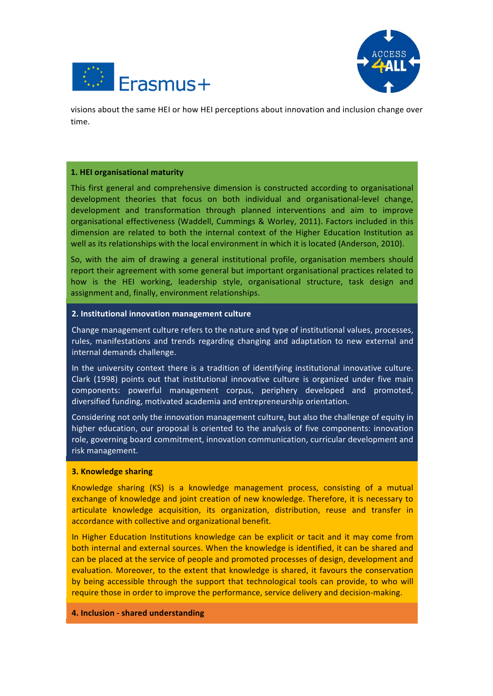



visions about the same HEI or how HEI perceptions about innovation and inclusion change over time.

### **1. HEI organisational maturity**

This first general and comprehensive dimension is constructed according to organisational development theories that focus on both individual and organisational-level change, development and transformation through planned interventions and aim to improve organisational effectiveness (Waddell, Cummings & Worley, 2011). Factors included in this dimension are related to both the internal context of the Higher Education Institution as well as its relationships with the local environment in which it is located (Anderson, 2010).

So, with the aim of drawing a general institutional profile, organisation members should report their agreement with some general but important organisational practices related to how is the HEI working, leadership style, organisational structure, task design and assignment and, finally, environment relationships.

### **2. Institutional innovation management culture**

Change management culture refers to the nature and type of institutional values, processes, rules, manifestations and trends regarding changing and adaptation to new external and internal demands challenge.

In the university context there is a tradition of identifying institutional innovative culture. Clark (1998) points out that institutional innovative culture is organized under five main components: powerful management corpus, periphery developed and promoted, diversified funding, motivated academia and entrepreneurship orientation.

Considering not only the innovation management culture, but also the challenge of equity in higher education, our proposal is oriented to the analysis of five components: innovation role, governing board commitment, innovation communication, curricular development and risk management.

### **3. Knowledge sharing**

Knowledge sharing (KS) is a knowledge management process, consisting of a mutual exchange of knowledge and joint creation of new knowledge. Therefore, it is necessary to articulate knowledge acquisition, its organization, distribution, reuse and transfer in accordance with collective and organizational benefit.

In Higher Education Institutions knowledge can be explicit or tacit and it may come from both internal and external sources. When the knowledge is identified, it can be shared and can be placed at the service of people and promoted processes of design, development and evaluation. Moreover, to the extent that knowledge is shared, it favours the conservation by being accessible through the support that technological tools can provide, to who will require those in order to improve the performance, service delivery and decision-making.

### **4. Inclusion - shared understanding**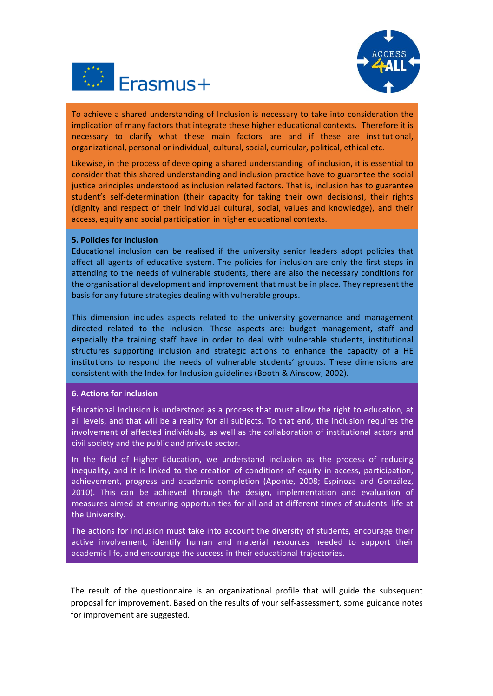



To achieve a shared understanding of Inclusion is necessary to take into consideration the implication of many factors that integrate these higher educational contexts. Therefore it is necessary to clarify what these main factors are and if these are institutional, organizational, personal or individual, cultural, social, curricular, political, ethical etc.

Likewise, in the process of developing a shared understanding of inclusion, it is essential to consider that this shared understanding and inclusion practice have to guarantee the social justice principles understood as inclusion related factors. That is, inclusion has to guarantee student's self-determination (their capacity for taking their own decisions), their rights (dignity and respect of their individual cultural, social, values and knowledge), and their access, equity and social participation in higher educational contexts.

### **5. Policies for inclusion**

Educational inclusion can be realised if the university senior leaders adopt policies that affect all agents of educative system. The policies for inclusion are only the first steps in attending to the needs of vulnerable students, there are also the necessary conditions for the organisational development and improvement that must be in place. They represent the basis for any future strategies dealing with vulnerable groups.

This dimension includes aspects related to the university governance and management directed related to the inclusion. These aspects are: budget management, staff and especially the training staff have in order to deal with vulnerable students, institutional structures supporting inclusion and strategic actions to enhance the capacity of a HE institutions to respond the needs of vulnerable students' groups. These dimensions are consistent with the Index for Inclusion guidelines (Booth & Ainscow, 2002).

### **6. Actions for inclusion**

Educational Inclusion is understood as a process that must allow the right to education, at all levels, and that will be a reality for all subjects. To that end, the inclusion requires the involvement of affected individuals, as well as the collaboration of institutional actors and civil society and the public and private sector.

In the field of Higher Education, we understand inclusion as the process of reducing inequality, and it is linked to the creation of conditions of equity in access, participation, achievement, progress and academic completion (Aponte, 2008; Espinoza and González, 2010). This can be achieved through the design, implementation and evaluation of measures aimed at ensuring opportunities for all and at different times of students' life at the University.

The actions for inclusion must take into account the diversity of students, encourage their active involvement, identify human and material resources needed to support their academic life, and encourage the success in their educational trajectories.

The result of the questionnaire is an organizational profile that will guide the subsequent proposal for improvement. Based on the results of your self-assessment, some guidance notes for improvement are suggested.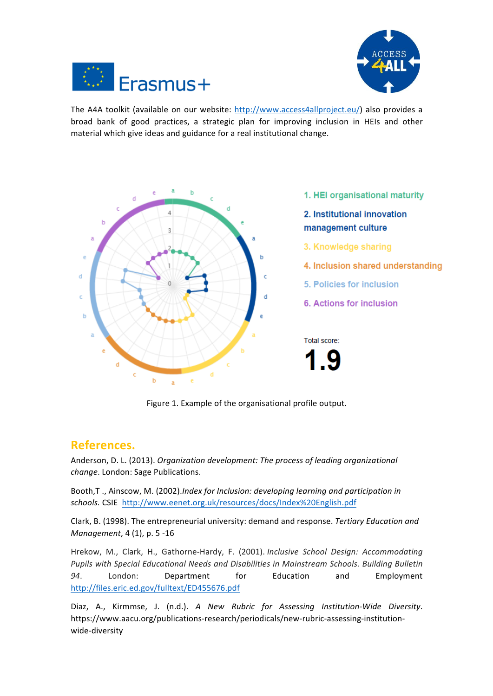



The A4A toolkit (available on our website: http://www.access4allproject.eu/) also provides a broad bank of good practices, a strategic plan for improving inclusion in HEIs and other material which give ideas and guidance for a real institutional change.



Figure 1. Example of the organisational profile output.

# **References.**

Anderson, D. L. (2013). *Organization development: The process of leading organizational* change. London: Sage Publications.

Booth,T., Ainscow, M. (2002).*Index for Inclusion: developing learning and participation in* schools. CSIE http://www.eenet.org.uk/resources/docs/Index%20English.pdf

Clark, B. (1998). The entrepreneurial university: demand and response. *Tertiary Education and Management*, 4 (1), p. 5 -16

Hrekow, M., Clark, H., Gathorne-Hardy, F. (2001). *Inclusive School Design: Accommodating* Pupils with Special Educational Needs and Disabilities in Mainstream Schools. Building Bulletin *94*. London: Department for Education and Employment http://files.eric.ed.gov/fulltext/ED455676.pdf

Diaz, A., Kirmmse, J. (n.d.). *A New Rubric for Assessing Institution-Wide Diversity*. https://www.aacu.org/publications-research/periodicals/new-rubric-assessing-institutionwide-diversity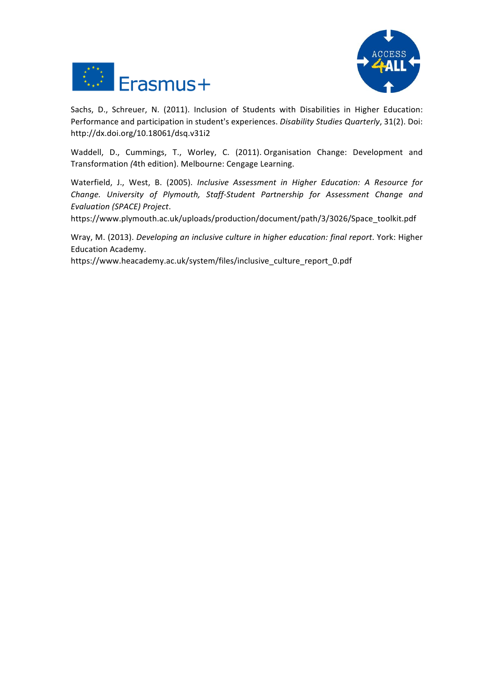



Sachs, D., Schreuer, N. (2011). Inclusion of Students with Disabilities in Higher Education: Performance and participation in student's experiences. *Disability Studies Quarterly*, 31(2). Doi: http://dx.doi.org/10.18061/dsq.v31i2

Waddell, D., Cummings, T., Worley, C. (2011). Organisation Change: Development and Transformation *(*4th edition). Melbourne: Cengage Learning.

Waterfield, J., West, B. (2005). *Inclusive Assessment in Higher Education: A Resource for* Change. University of Plymouth, Staff-Student Partnership for Assessment Change and *Evaluation (SPACE) Project*.

https://www.plymouth.ac.uk/uploads/production/document/path/3/3026/Space\_toolkit.pdf

Wray, M. (2013). *Developing an inclusive culture in higher education: final report*. York: Higher Education Academy.

https://www.heacademy.ac.uk/system/files/inclusive\_culture\_report\_0.pdf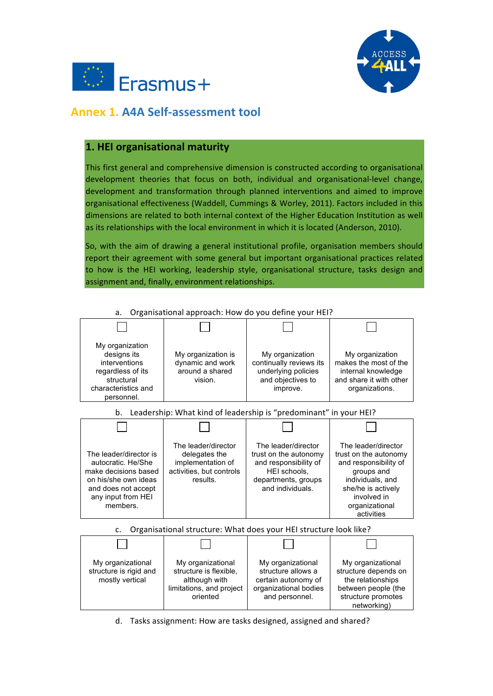



# **Annex 1. A4A Self-assessment tool**

# **1. HEI organisational maturity**

This first general and comprehensive dimension is constructed according to organisational development theories that focus on both, individual and organisational-level change, development and transformation through planned interventions and aimed to improve organisational effectiveness (Waddell, Cummings & Worley, 2011). Factors included in this dimensions are related to both internal context of the Higher Education Institution as well as its relationships with the local environment in which it is located (Anderson, 2010).

So, with the aim of drawing a general institutional profile, organisation members should report their agreement with some general but important organisational practices related to how is the HEI working, leadership style, organisational structure, tasks design and assignment and, finally, environment relationships.



a. Organisational approach: How do you define your HEI?

d. Tasks assignment: How are tasks designed, assigned and shared?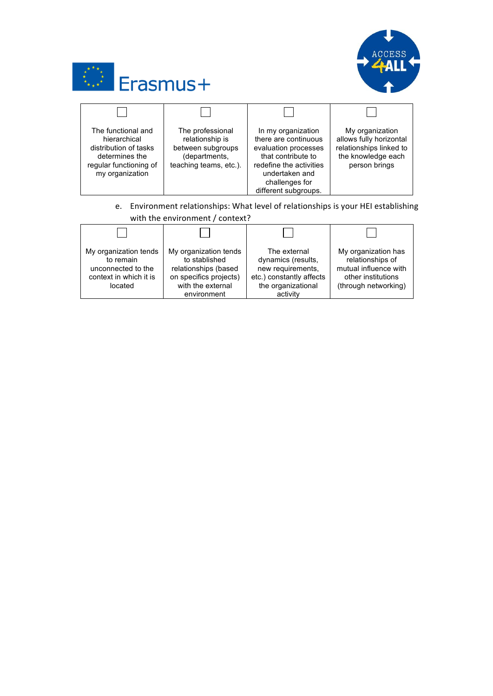



| The functional and<br>hierarchical<br>distribution of tasks<br>determines the<br>regular functioning of<br>my organization | The professional<br>relationship is<br>between subgroups<br>(departments,<br>teaching teams, etc.). | In my organization<br>there are continuous<br>evaluation processes<br>that contribute to<br>redefine the activities<br>undertaken and<br>challenges for<br>different subgroups. | My organization<br>allows fully horizontal<br>relationships linked to<br>the knowledge each<br>person brings |
|----------------------------------------------------------------------------------------------------------------------------|-----------------------------------------------------------------------------------------------------|---------------------------------------------------------------------------------------------------------------------------------------------------------------------------------|--------------------------------------------------------------------------------------------------------------|

e. Environment relationships: What level of relationships is your HEI establishing with the environment / context?

| My organization tends<br>to remain<br>unconnected to the<br>context in which it is<br>located | My organization tends<br>to stablished<br>relationships (based<br>on specifics projects)<br>with the external<br>environment | The external<br>dynamics (results,<br>new requirements,<br>etc.) constantly affects<br>the organizational<br>activity | My organization has<br>relationships of<br>mutual influence with<br>other institutions<br>(through networking) |
|-----------------------------------------------------------------------------------------------|------------------------------------------------------------------------------------------------------------------------------|-----------------------------------------------------------------------------------------------------------------------|----------------------------------------------------------------------------------------------------------------|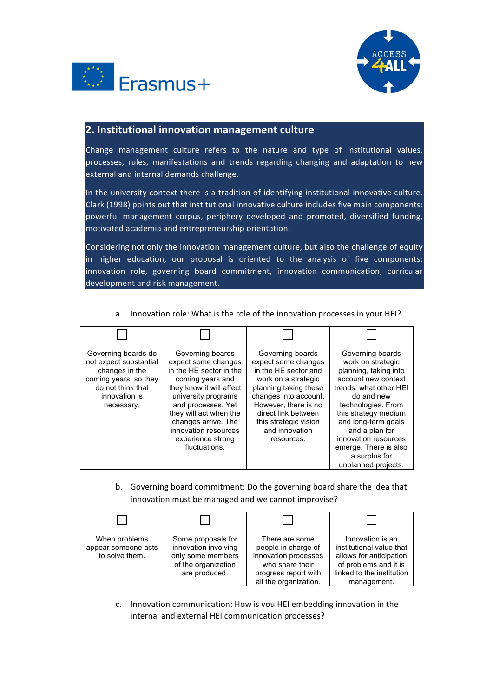



## **2. Institutional innovation management culture**

Change management culture refers to the nature and type of institutional values, processes, rules, manifestations and trends regarding changing and adaptation to new external and internal demands challenge.

In the university context there is a tradition of identifying institutional innovative culture. Clark (1998) points out that institutional innovative culture includes five main components: powerful management corpus, periphery developed and promoted, diversified funding, motivated academia and entrepreneurship orientation.

Considering not only the innovation management culture, but also the challenge of equity in higher education, our proposal is oriented to the analysis of five components: innovation role, governing board commitment, innovation communication, curricular development and risk management.

- Governing boards do not expect substantial changes in the coming years, so they do not think that innovation is necessary. Governing boards expect some changes in the HE sector in the coming years and they know it will affect university programs and processes. Yet they will act when the changes arrive. The innovation resources experience strong fluctuations. Governing boards expect some changes in the HE sector and work on a strategic planning taking these changes into account. However, there is no direct link between this strategic vision and innovation resources. Governing boards work on strategic planning, taking into account new context trends, what other HEI do and new technologies. From this strategy medium and long-term goals and a plan for innovation resources emerge. There is also a surplus for unplanned projects.
- a. Innovation role: What is the role of the innovation processes in your HEI?

b. Governing board commitment: Do the governing board share the idea that innovation must be managed and we cannot improvise?

| When problems<br>appear someone acts<br>to solve them. | Some proposals for<br>innovation involving<br>only some members<br>of the organization<br>are produced. | There are some<br>people in charge of<br>innovation processes<br>who share their<br>progress report with<br>all the organization. | Innovation is an<br>institutional value that<br>allows for anticipation<br>of problems and it is<br>linked to the institution<br>management. |
|--------------------------------------------------------|---------------------------------------------------------------------------------------------------------|-----------------------------------------------------------------------------------------------------------------------------------|----------------------------------------------------------------------------------------------------------------------------------------------|

c. Innovation communication: How is you HEI embedding innovation in the internal and external HEI communication processes?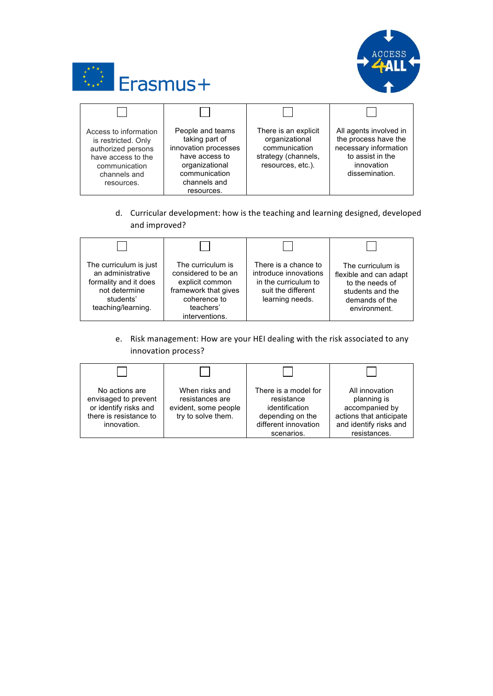



| Access to information<br>is restricted. Only<br>authorized persons<br>have access to the<br>communication<br>channels and<br>resources. | People and teams<br>taking part of<br>innovation processes<br>have access to<br>organizational<br>communication<br>channels and<br>resources. | There is an explicit<br>organizational<br>communication<br>strategy (channels,<br>resources, etc.). | All agents involved in<br>the process have the<br>necessary information<br>to assist in the<br>innovation<br>dissemination. |
|-----------------------------------------------------------------------------------------------------------------------------------------|-----------------------------------------------------------------------------------------------------------------------------------------------|-----------------------------------------------------------------------------------------------------|-----------------------------------------------------------------------------------------------------------------------------|

d. Curricular development: how is the teaching and learning designed, developed and improved?

| The curriculum is just<br>an administrative<br>formality and it does<br>not determine<br>students'<br>teaching/learning. | The curriculum is<br>considered to be an<br>explicit common<br>framework that gives<br>coherence to<br>teachers'<br>interventions. | There is a chance to<br>introduce innovations<br>in the curriculum to<br>suit the different<br>learning needs. | The curriculum is<br>flexible and can adapt<br>to the needs of<br>students and the<br>demands of the<br>environment. |
|--------------------------------------------------------------------------------------------------------------------------|------------------------------------------------------------------------------------------------------------------------------------|----------------------------------------------------------------------------------------------------------------|----------------------------------------------------------------------------------------------------------------------|

e. Risk management: How are your HEI dealing with the risk associated to any innovation process?

| No actions are<br>envisaged to prevent<br>or identify risks and<br>there is resistance to<br>innovation. | When risks and<br>resistances are<br>evident, some people<br>try to solve them. | There is a model for<br>resistance<br>identification<br>depending on the<br>different innovation<br>scenarios. | All innovation<br>planning is<br>accompanied by<br>actions that anticipate<br>and identify risks and<br>resistances. |
|----------------------------------------------------------------------------------------------------------|---------------------------------------------------------------------------------|----------------------------------------------------------------------------------------------------------------|----------------------------------------------------------------------------------------------------------------------|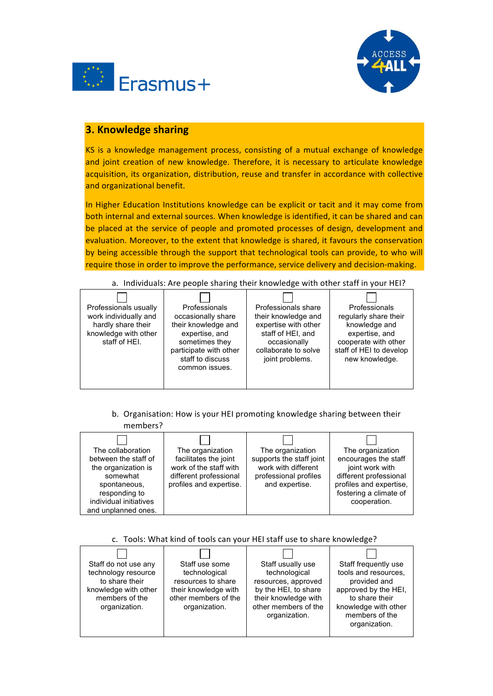



# **3. Knowledge sharing**

KS is a knowledge management process, consisting of a mutual exchange of knowledge and joint creation of new knowledge. Therefore, it is necessary to articulate knowledge acquisition, its organization, distribution, reuse and transfer in accordance with collective and organizational benefit.

In Higher Education Institutions knowledge can be explicit or tacit and it may come from both internal and external sources. When knowledge is identified, it can be shared and can be placed at the service of people and promoted processes of design, development and evaluation. Moreover, to the extent that knowledge is shared, it favours the conservation by being accessible through the support that technological tools can provide, to who will require those in order to improve the performance, service delivery and decision-making.

#### Professionals usually work individually and hardly share their knowledge with other staff of HEI. Professionals occasionally share their knowledge and expertise, and sometimes they participate with other staff to discuss common issues. Professionals share their knowledge and expertise with other staff of HEI, and occasionally collaborate to solve joint problems. Professionals regularly share their knowledge and expertise, and cooperate with other staff of HEI to develop new knowledge.

a. Individuals: Are people sharing their knowledge with other staff in your HEI?

b. Organisation: How is your HEI promoting knowledge sharing between their

| members?                                                                                                                                                       |                                                                                                                          |                                                                                                                |                                                                                                                                                            |
|----------------------------------------------------------------------------------------------------------------------------------------------------------------|--------------------------------------------------------------------------------------------------------------------------|----------------------------------------------------------------------------------------------------------------|------------------------------------------------------------------------------------------------------------------------------------------------------------|
| The collaboration<br>between the staff of<br>the organization is<br>somewhat<br>spontaneous,<br>responding to<br>individual initiatives<br>and unplanned ones. | The organization<br>facilitates the joint<br>work of the staff with<br>different professional<br>profiles and expertise. | The organization<br>supports the staff joint<br>work with different<br>professional profiles<br>and expertise. | The organization<br>encourages the staff<br>joint work with<br>different professional<br>profiles and expertise,<br>fostering a climate of<br>cooperation. |

# c. Tools: What kind of tools can your HEI staff use to share knowledge?

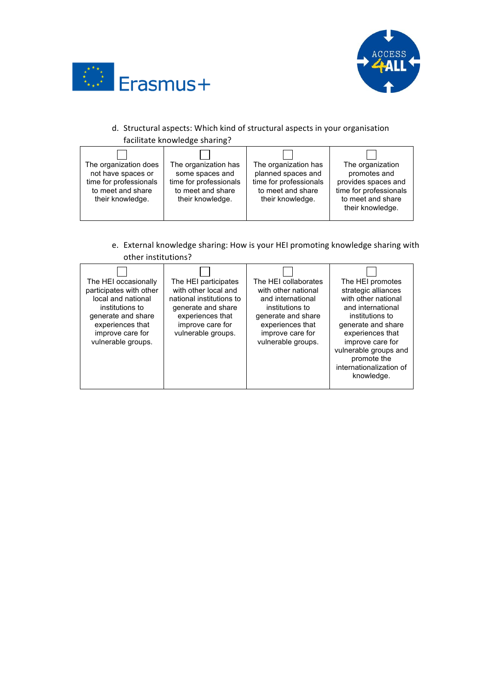



# d. Structural aspects: Which kind of structural aspects in your organisation facilitate knowledge sharing?

| The organization does<br>not have spaces or<br>time for professionals<br>to meet and share<br>their knowledge. | The organization has<br>some spaces and<br>time for professionals<br>to meet and share<br>their knowledge. | The organization has<br>planned spaces and<br>time for professionals<br>to meet and share<br>their knowledge. | The organization<br>promotes and<br>provides spaces and<br>time for professionals<br>to meet and share<br>their knowledge. |
|----------------------------------------------------------------------------------------------------------------|------------------------------------------------------------------------------------------------------------|---------------------------------------------------------------------------------------------------------------|----------------------------------------------------------------------------------------------------------------------------|
|                                                                                                                |                                                                                                            |                                                                                                               |                                                                                                                            |

# e. External knowledge sharing: How is your HEI promoting knowledge sharing with other institutions?

| The HEI occasionally<br>participates with other<br>local and national<br>institutions to<br>generate and share<br>experiences that<br>improve care for<br>vulnerable groups. | The HEI participates<br>with other local and<br>national institutions to<br>generate and share<br>experiences that<br>improve care for<br>vulnerable groups. | The HEI collaborates<br>with other national<br>and international<br>institutions to<br>generate and share<br>experiences that<br>improve care for<br>vulnerable groups. | The HEI promotes<br>strategic alliances<br>with other national<br>and international<br>institutions to<br>generate and share<br>experiences that<br>improve care for<br>vulnerable groups and<br>promote the<br>internationalization of<br>knowledge. |
|------------------------------------------------------------------------------------------------------------------------------------------------------------------------------|--------------------------------------------------------------------------------------------------------------------------------------------------------------|-------------------------------------------------------------------------------------------------------------------------------------------------------------------------|-------------------------------------------------------------------------------------------------------------------------------------------------------------------------------------------------------------------------------------------------------|
|------------------------------------------------------------------------------------------------------------------------------------------------------------------------------|--------------------------------------------------------------------------------------------------------------------------------------------------------------|-------------------------------------------------------------------------------------------------------------------------------------------------------------------------|-------------------------------------------------------------------------------------------------------------------------------------------------------------------------------------------------------------------------------------------------------|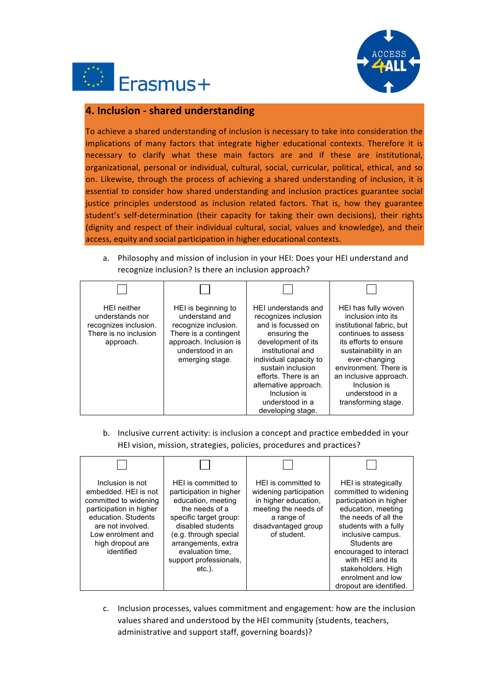



# **4. Inclusion - shared understanding**

To achieve a shared understanding of inclusion is necessary to take into consideration the implications of many factors that integrate higher educational contexts. Therefore it is necessary to clarify what these main factors are and if these are institutional, organizational, personal or individual, cultural, social, curricular, political, ethical, and so on. Likewise, through the process of achieving a shared understanding of inclusion, it is essential to consider how shared understanding and inclusion practices guarantee social justice principles understood as inclusion related factors. That is, how they guarantee student's self-determination (their capacity for taking their own decisions), their rights (dignity and respect of their individual cultural, social, values and knowledge), and their access, equity and social participation in higher educational contexts.

a. Philosophy and mission of inclusion in your HEI: Does your HEI understand and recognize inclusion? Is there an inclusion approach?

| <b>HEI</b> neither<br>understands nor<br>recognizes inclusion.<br>There is no inclusion<br>approach. | HEI is beginning to<br>understand and<br>recognize inclusion.<br>There is a contingent<br>approach. Inclusion is<br>understood in an<br>emerging stage. | HEI understands and<br>recognizes inclusion<br>and is focussed on<br>ensuring the<br>development of its<br>institutional and<br>individual capacity to<br>sustain inclusion<br>efforts. There is an<br>alternative approach.<br>Inclusion is<br>understood in a<br>developing stage. | HEI has fully woven<br>inclusion into its<br>institutional fabric, but<br>continues to assess<br>its efforts to ensure<br>sustainability in an<br>ever-changing<br>environment. There is<br>an inclusive approach.<br>Inclusion is<br>understood in a<br>transforming stage. |
|------------------------------------------------------------------------------------------------------|---------------------------------------------------------------------------------------------------------------------------------------------------------|--------------------------------------------------------------------------------------------------------------------------------------------------------------------------------------------------------------------------------------------------------------------------------------|------------------------------------------------------------------------------------------------------------------------------------------------------------------------------------------------------------------------------------------------------------------------------|

b. Inclusive current activity: is inclusion a concept and practice embedded in your HEI vision, mission, strategies, policies, procedures and practices?



c. Inclusion processes, values commitment and engagement: how are the inclusion values shared and understood by the HEI community (students, teachers, administrative and support staff, governing boards)?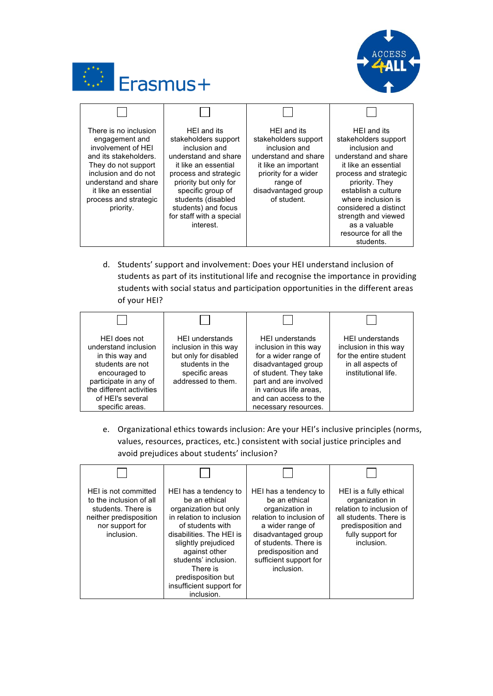



| There is no inclusion<br>engagement and<br>involvement of HEI<br>and its stakeholders.<br>They do not support<br>inclusion and do not<br>understand and share<br>it like an essential<br>process and strategic<br>priority. | HEI and its<br>stakeholders support<br>inclusion and<br>understand and share<br>it like an essential<br>process and strategic<br>priority but only for<br>specific group of<br>students (disabled<br>students) and focus<br>for staff with a special<br>interest. | HEI and its<br>stakeholders support<br>inclusion and<br>understand and share<br>it like an important<br>priority for a wider<br>range of<br>disadvantaged group<br>of student. | HEI and its<br>stakeholders support<br>inclusion and<br>understand and share<br>it like an essential<br>process and strategic<br>priority. They<br>establish a culture<br>where inclusion is<br>considered a distinct<br>strength and viewed<br>as a valuable<br>resource for all the<br>students. |
|-----------------------------------------------------------------------------------------------------------------------------------------------------------------------------------------------------------------------------|-------------------------------------------------------------------------------------------------------------------------------------------------------------------------------------------------------------------------------------------------------------------|--------------------------------------------------------------------------------------------------------------------------------------------------------------------------------|----------------------------------------------------------------------------------------------------------------------------------------------------------------------------------------------------------------------------------------------------------------------------------------------------|

d. Students' support and involvement: Does your HEI understand inclusion of students as part of its institutional life and recognise the importance in providing students with social status and participation opportunities in the different areas of your HEI?

| HEI does not<br>understand inclusion<br>in this way and<br>students are not<br>encouraged to<br>participate in any of<br>the different activities<br>of HEI's several<br>specific areas. | <b>HEI understands</b><br>inclusion in this way<br>but only for disabled<br>students in the<br>specific areas<br>addressed to them. | <b>HEI understands</b><br>inclusion in this way<br>for a wider range of<br>disadvantaged group<br>of student. They take<br>part and are involved<br>in various life areas,<br>and can access to the<br>necessary resources. | <b>HEI understands</b><br>inclusion in this way<br>for the entire student<br>in all aspects of<br>institutional life. |
|------------------------------------------------------------------------------------------------------------------------------------------------------------------------------------------|-------------------------------------------------------------------------------------------------------------------------------------|-----------------------------------------------------------------------------------------------------------------------------------------------------------------------------------------------------------------------------|-----------------------------------------------------------------------------------------------------------------------|

e. Organizational ethics towards inclusion: Are your HEI's inclusive principles (norms, values, resources, practices, etc.) consistent with social justice principles and avoid prejudices about students' inclusion?

| HEI is not committed<br>to the inclusion of all<br>students. There is<br>neither predisposition<br>nor support for<br>inclusion. | HEI has a tendency to<br>be an ethical<br>organization but only<br>in relation to inclusion<br>of students with<br>disabilities. The HEI is<br>slightly prejudiced<br>against other<br>students' inclusion.<br>There is<br>predisposition but<br>insufficient support for<br>inclusion. | HEI has a tendency to<br>be an ethical<br>organization in<br>relation to inclusion of<br>a wider range of<br>disadvantaged group<br>of students. There is<br>predisposition and<br>sufficient support for<br>inclusion. | HEI is a fully ethical<br>organization in<br>relation to inclusion of<br>all students. There is<br>predisposition and<br>fully support for<br>inclusion. |
|----------------------------------------------------------------------------------------------------------------------------------|-----------------------------------------------------------------------------------------------------------------------------------------------------------------------------------------------------------------------------------------------------------------------------------------|-------------------------------------------------------------------------------------------------------------------------------------------------------------------------------------------------------------------------|----------------------------------------------------------------------------------------------------------------------------------------------------------|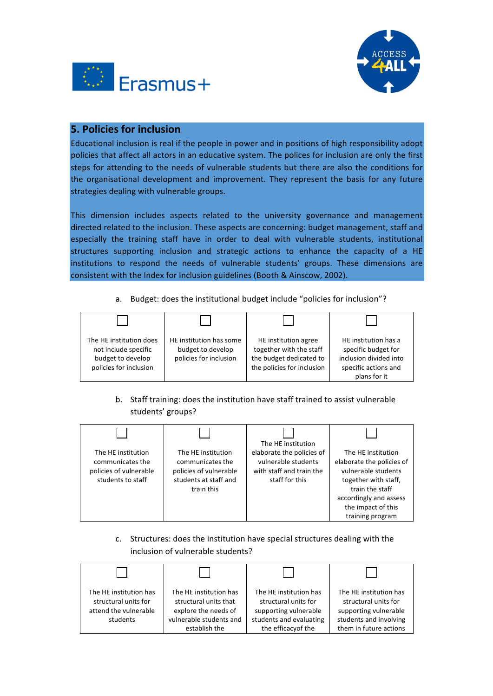



## **5. Policies for inclusion**

Educational inclusion is real if the people in power and in positions of high responsibility adopt policies that affect all actors in an educative system. The polices for inclusion are only the first steps for attending to the needs of vulnerable students but there are also the conditions for the organisational development and improvement. They represent the basis for any future strategies dealing with vulnerable groups.

This dimension includes aspects related to the university governance and management directed related to the inclusion. These aspects are concerning: budget management, staff and especially the training staff have in order to deal with vulnerable students, institutional structures supporting inclusion and strategic actions to enhance the capacity of a HE institutions to respond the needs of vulnerable students' groups. These dimensions are consistent with the Index for Inclusion guidelines (Booth & Ainscow, 2002).

a. Budget: does the institutional budget include "policies for inclusion"?

| The HE institution does<br>not include specific<br>budget to develop<br>policies for inclusion | HE institution has some<br>budget to develop<br>policies for inclusion | HE institution agree<br>together with the staff<br>the budget dedicated to<br>the policies for inclusion | HE institution has a<br>specific budget for<br>inclusion divided into<br>specific actions and<br>plans for it |
|------------------------------------------------------------------------------------------------|------------------------------------------------------------------------|----------------------------------------------------------------------------------------------------------|---------------------------------------------------------------------------------------------------------------|

b. Staff training: does the institution have staff trained to assist vulnerable students' groups?

| The HE institution<br>communicates the<br>policies of vulnerable<br>students to staff | The HE institution<br>communicates the<br>policies of vulnerable<br>students at staff and<br>train this | The HE institution<br>elaborate the policies of<br>vulnerable students<br>with staff and train the<br>staff for this | The HE institution<br>elaborate the policies of<br>vulnerable students<br>together with staff,<br>train the staff<br>accordingly and assess<br>the impact of this<br>training program |
|---------------------------------------------------------------------------------------|---------------------------------------------------------------------------------------------------------|----------------------------------------------------------------------------------------------------------------------|---------------------------------------------------------------------------------------------------------------------------------------------------------------------------------------|

c. Structures: does the institution have special structures dealing with the inclusion of vulnerable students?

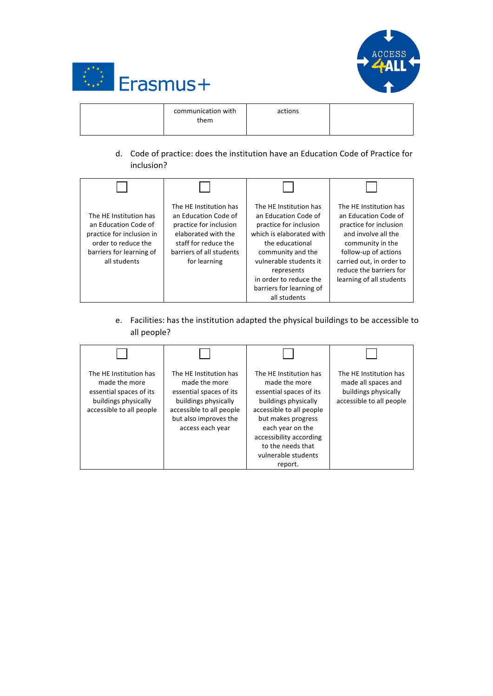



| communication with<br>them | actions |  |
|----------------------------|---------|--|
|----------------------------|---------|--|

d. Code of practice: does the institution have an Education Code of Practice for inclusion?

| The HE Institution has<br>an Education Code of<br>practice for inclusion in<br>order to reduce the<br>barriers for learning of<br>all students | The HE Institution has<br>an Education Code of<br>practice for inclusion<br>elaborated with the<br>staff for reduce the<br>barriers of all students<br>for learning | The HE Institution has<br>an Education Code of<br>practice for inclusion<br>which is elaborated with<br>the educational<br>community and the<br>vulnerable students it<br>represents<br>in order to reduce the<br>barriers for learning of<br>all students | The HE Institution has<br>an Education Code of<br>practice for inclusion<br>and involve all the<br>community in the<br>follow-up of actions<br>carried out, in order to<br>reduce the barriers for<br>learning of all students |
|------------------------------------------------------------------------------------------------------------------------------------------------|---------------------------------------------------------------------------------------------------------------------------------------------------------------------|------------------------------------------------------------------------------------------------------------------------------------------------------------------------------------------------------------------------------------------------------------|--------------------------------------------------------------------------------------------------------------------------------------------------------------------------------------------------------------------------------|

e. Facilities: has the institution adapted the physical buildings to be accessible to all people?

| The HE Institution has<br>made the more<br>essential spaces of its<br>buildings physically<br>accessible to all people | The HE Institution has<br>made the more<br>essential spaces of its<br>buildings physically<br>accessible to all people<br>but also improves the<br>access each year | The HE Institution has<br>made the more<br>essential spaces of its<br>buildings physically<br>accessible to all people<br>but makes progress<br>each year on the<br>accessibility according<br>to the needs that<br>vulnerable students<br>report. | The HE Institution has<br>made all spaces and<br>buildings physically<br>accessible to all people |
|------------------------------------------------------------------------------------------------------------------------|---------------------------------------------------------------------------------------------------------------------------------------------------------------------|----------------------------------------------------------------------------------------------------------------------------------------------------------------------------------------------------------------------------------------------------|---------------------------------------------------------------------------------------------------|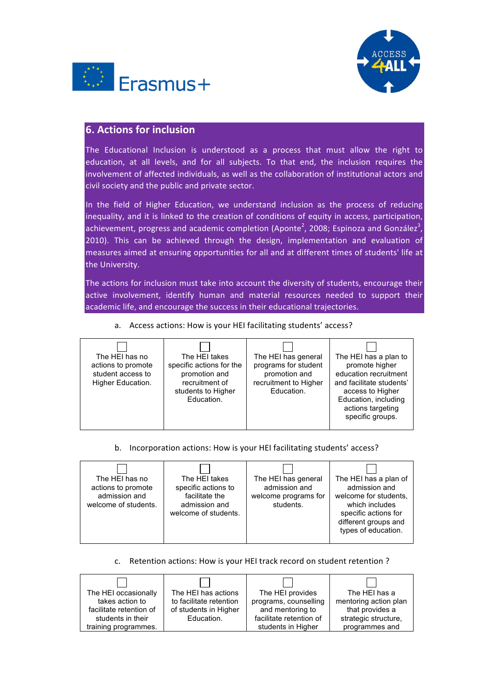



## **6. Actions for inclusion**

The Educational Inclusion is understood as a process that must allow the right to education, at all levels, and for all subjects. To that end, the inclusion requires the involvement of affected individuals, as well as the collaboration of institutional actors and civil society and the public and private sector.

In the field of Higher Education, we understand inclusion as the process of reducing inequality, and it is linked to the creation of conditions of equity in access, participation, achievement, progress and academic completion (Aponte<sup>2</sup>, 2008; Espinoza and González<sup>3</sup>, 2010). This can be achieved through the design, implementation and evaluation of measures aimed at ensuring opportunities for all and at different times of students' life at the University.

The actions for inclusion must take into account the diversity of students, encourage their active involvement, identify human and material resources needed to support their academic life, and encourage the success in their educational trajectories.

| The HEI takes<br>The HEI has general<br>The HEI has a plan to<br>The HEI has no<br>programs for student<br>specific actions for the<br>promote higher<br>actions to promote<br>education recruitment<br>student access to<br>promotion and<br>promotion and<br>recruitment to Higher<br>recruitment of<br>and facilitate students'<br>Higher Education.<br>Education.<br>students to Higher<br>access to Higher<br>Education, including<br>Education.<br>actions targeting<br>specific groups. |  |  |
|------------------------------------------------------------------------------------------------------------------------------------------------------------------------------------------------------------------------------------------------------------------------------------------------------------------------------------------------------------------------------------------------------------------------------------------------------------------------------------------------|--|--|
|                                                                                                                                                                                                                                                                                                                                                                                                                                                                                                |  |  |

## a. Access actions: How is your HEI facilitating students' access?

### b. Incorporation actions: How is your HEI facilitating students' access?

| admission and<br>students. | The HEI has a plan of<br>admission and<br>welcome for students.<br>which includes<br>specific actions for<br>different groups and<br>types of education. |
|----------------------------|----------------------------------------------------------------------------------------------------------------------------------------------------------|
|                            | The HEI has general<br>welcome programs for                                                                                                              |

### c. Retention actions: How is your HEI track record on student retention ?

| The HEI occasionally    | The HEI has actions     | The HEI provides        | The HEI has a         |
|-------------------------|-------------------------|-------------------------|-----------------------|
| takes action to         | to facilitate retention | programs, counselling   | mentoring action plan |
| facilitate retention of | of students in Higher   | and mentoring to        | that provides a       |
| students in their       | Education.              | facilitate retention of | strategic structure,  |
| training programmes.    |                         | students in Higher      | programmes and        |